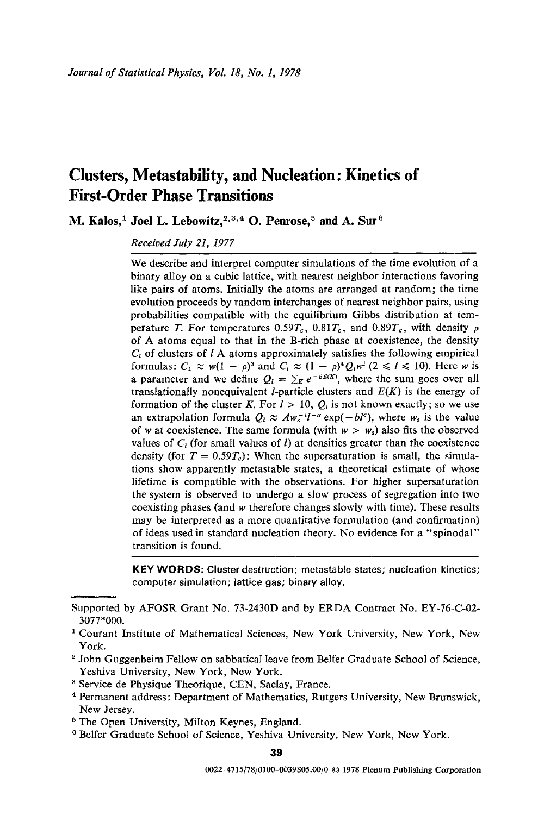# **Clusters, Metastability, and Nucleation: Kinetics of First-Order Phase Transitions**

M. Kalos,<sup>1</sup> Joel L. Lebowitz,<sup>2,3,4</sup> O. Penrose,<sup>5</sup> and A. Sur<sup>6</sup>

#### *Received July 21, 1977*

We describe and interpret computer simulations of the time evolution of a binary alloy on a cubic lattice, with nearest neighbor interactions favoring like pairs of atoms. Initially the atoms are arranged at random; the time evolution proceeds by random interchanges of nearest neighbor pairs, using probabilities compatible with the equilibrium Gibbs distribution at temperature T. For temperatures  $0.59T_c$ ,  $0.81T_c$ , and  $0.89T_c$ , with density  $\rho$ of A atoms equal to that in the B-rich phase at coexistence, the density  $C_{\iota}$  of clusters of l A atoms approximately satisfies the following empirical formulas:  $C_1 \approx w(1 - \rho)^3$  and  $C_i \approx (1 - \rho)^4 Q_i w^i$  ( $2 \le l \le 10$ ). Here w is a parameter and we define  $Q_l = \sum_K e^{-\beta E(K)}$ , where the sum goes over all translationally nonequivalent *l*-particle clusters and  $E(K)$  is the energy of formation of the cluster K. For  $l > 10$ ,  $Q_i$  is not known exactly; so we use an extrapolation formula  $Q_i \approx Aw_s^{-1}l^{-\alpha} \exp(-bl^{\sigma})$ , where w<sub>s</sub> is the value of w at coexistence. The same formula (with  $w > w_s$ ) also fits the observed values of  $C_i$  (for small values of l) at densities greater than the coexistence density (for  $T = 0.59T_c$ ): When the supersaturation is small, the simulations show apparently metastable states, a theoretical estimate of whose lifetime is compatible with the observations. For higher supersaturation the system is observed to undergo a slow process of segregation into two coexisting phases (and w therefore changes slowly with time). These results may be interpreted as a more quantitative formulation (and confirmation) of ideas used in standard nucleation theory. No evidence for a "spinodal" transition is found.

**KEY WORDS:** Cluster destruction; metastable states; nucleation kinetics; computer simulation; lattice gas; binary alloy.

- 5 The Open University, Milton Keynes, England.
- 6 Belfer Graduate School of Science, Yeshiva University, New York, New York.

Supported by AEOSR Grant No. 73-2430D and by ERDA Contract No. EY-76-C-02- 3077\*000.

<sup>1</sup> Courant Institute of Mathematical Sciences, New York University, New York, New York.

<sup>2</sup> John Guggenheim Fellow on sabbatical leave from Belfer Graduate School of Science, Yeshiva University, New York, New York.

<sup>&</sup>lt;sup>3</sup> Service de Physique Theorique, CEN, Saclay, France.

<sup>4</sup> Permanent address: Department of Mathematics, Rutgers University, New Brunswick, New Jersey.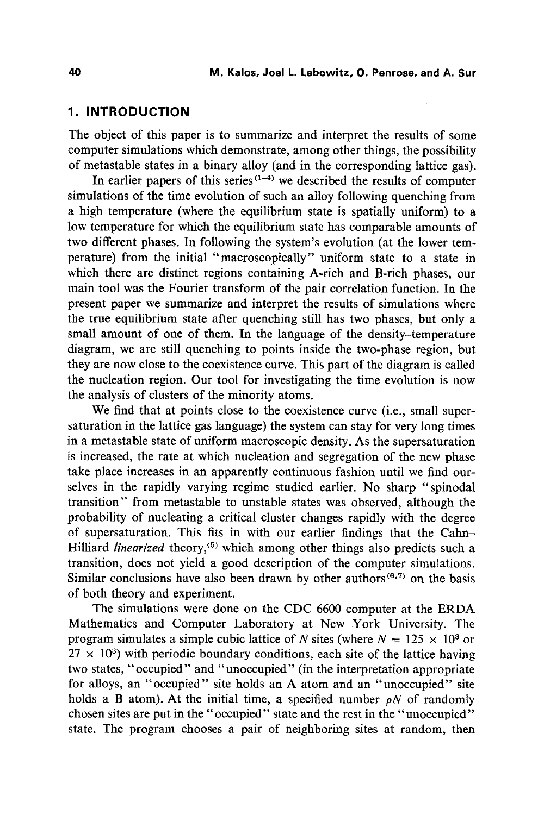### **1. INTRODUCTION**

The object of this paper is to summarize and interpret the results of some computer simulations which demonstrate, among other things, the possibility of metastable states in a binary alloy (and in the corresponding lattice gas).

In earlier papers of this series  $(1-4)$  we described the results of computer simulations of the time evolution of such an alloy following quenching from a high temperature (where the equilibrium state is spatially uniform) to a low temperature for which the equilibrium state has comparable amounts of two different phases. In following the system's evolution (at the lower temperature) from the initial "macroscopically" uniform state to a state in which there are distinct regions containing A-rich and B-rich phases, our main tool was the Fourier transform of the pair correlation function. In the present paper we summarize and interpret the results of simulations where the true equilibrium state after quenching still has two phases, but only a small amount of one of them. In the language of the density-temperature diagram, we are still quenching to points inside the two-phase region, but they are now close to the coexistence curve. This part of the diagram is called the nucleation region. Our tool for investigating the time evolution is now the analysis of clusters of the minority atoms.

We find that at points close to the coexistence curve (i.e., small supersaturation in the lattice gas language) the system can stay for very long times in a metastable state of uniform macroscopic density. As the supersaturation is increased, the rate at which nucleation and segregation of the new phase take place increases in an apparently continuous fashion until we find ourselves in the rapidly varying regime studied earlier. No sharp "spinodal transition" from metastable to unstable states was observed, although the probability of nucleating a critical cluster changes rapidly with the degree of supersaturation. This fits in with our earlier findings that the Cahn-Hilliard *linearized* theory,<sup>(5)</sup> which among other things also predicts such a transition, does not yield a good description of the computer simulations. Similar conclusions have also been drawn by other authors<sup> $(6,7)$ </sup> on the basis of both theory and experiment.

The simulations were done on the CDC 6600 computer at the ERDA Mathematics and Computer Laboratory at New York University. The program simulates a simple cubic lattice of N sites (where  $N = 125 \times 10^3$  or  $27 \times 10^3$ ) with periodic boundary conditions, each site of the lattice having two states, "occupied" and "unoccupied" (in the interpretation appropriate for alloys, an "occupied" site holds an A atom and an "unoccupied" site holds a B atom). At the initial time, a specified number  $\rho N$  of randomly chosen sites are put in the "occupied" state and the rest in the "unoccupied" state. The program chooses a pair of neighboring sites at random, then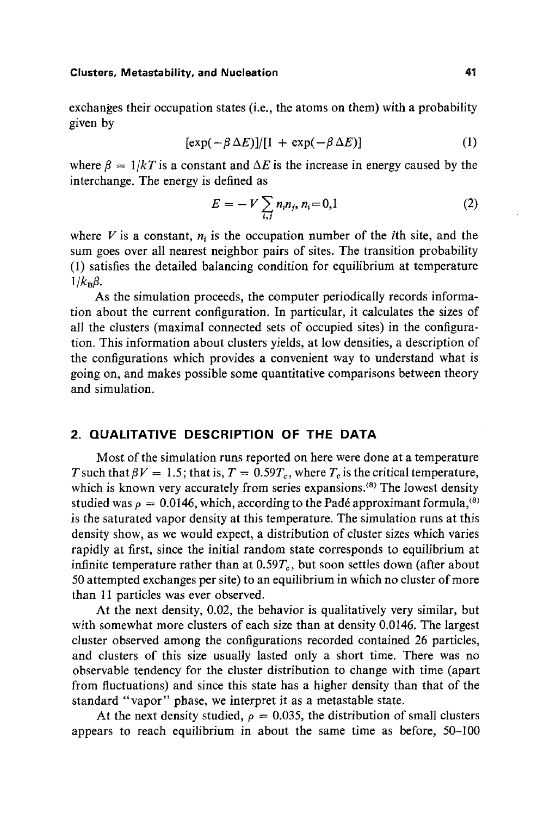exchanges their occupation states (i.e., the atoms on them) with a probability given by

$$
[\exp(-\beta \Delta E)]/[1 + \exp(-\beta \Delta E)] \tag{1}
$$

where  $\beta = 1/kT$  is a constant and  $\Delta E$  is the increase in energy caused by the interchange. The energy is defined as

$$
E = -V \sum_{i,j} n_i n_j, n_i = 0,1
$$
 (2)

where V is a constant,  $n_i$  is the occupation number of the *i*th site, and the sum goes over all nearest neighbor pairs of sites. The transition probability (1) satisfies the detailed balancing condition for equilibrium at temperature  $1/k_{\rm B}\beta$ .

As the simulation proceeds, the computer periodically records information about the current configuration. In particular, it calculates the sizes of all the clusters (maximal connected sets of occupied sites) in the configuration. This information about clusters yields, at low densities, a description of the configurations which provides a convenient way to understand what is going on, and makes possible some quantitative comparisons between theory and simulation.

## **2. QUALITATIVE DESCRIPTION OF THE DATA**

Most of the simulation runs reported on here were done at a temperature T such that  $\beta V = 1.5$ ; that is,  $T = 0.59T_c$ , where  $T_c$  is the critical temperature, which is known very accurately from series expansions. $^{(8)}$  The lowest density studied was  $\rho = 0.0146$ , which, according to the Padé approximant formula,<sup>(8)</sup> is the saturated vapor density at this temperature. The simulation runs at this density show, as we would expect, a distribution of cluster sizes which varies rapidly at first, since the initial random state corresponds to equilibrium at infinite temperature rather than at  $0.59T_c$ , but soon settles down (after about 50 attempted exchanges per site) to an equilibrium in which no cluster of more than 11 particles was ever observed.

At the next density, 0.02, the behavior is qualitatively very similar, but with somewhat more clusters of each size than at density 0.0146. The largest cluster observed among the configurations recorded contained 26 particles, and clusters of this size usually lasted only a short time. There was no observable tendency for the cluster distribution to change with time (apart from fluctuations) and since this state has a higher density than that of the standard "vapor" phase, we interpret it as a metastable state.

At the next density studied,  $\rho = 0.035$ , the distribution of small clusters appears to reach equilibrium in about the same time as before, 50-100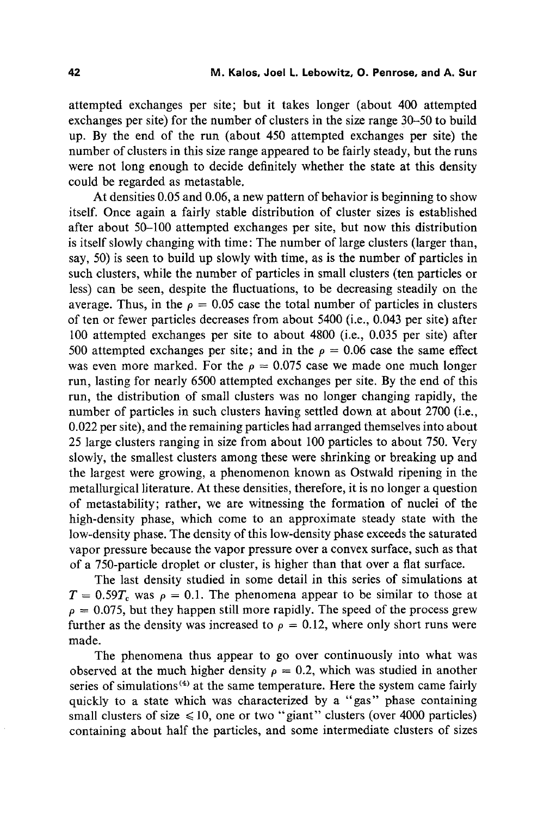attempted exchanges per site; but it takes longer (about 400 attempted exchanges per site) for the number of clusters in the size range 30-50 to build up. By the end of the run (about 450 attempted exchanges per site) the number of clusters in this size range appeared to be fairly steady, but the runs were not long enough to decide definitely whether the state at this density could be regarded as metastable.

At densities 0.05 and 0.06, a new pattern of behavior is beginning to show itself. Once again a fairly stable distribution of cluster sizes is established after about 50-100 attempted exchanges per site, but now this distribution is itself slowly changing with time: The number of large clusters (larger than, say, 50) is seen to build up slowly with time, as is the number of particles in such clusters, while the number of particles in small clusters (ten particles or less) can be seen, despite the fluctuations, to be decreasing steadily on the average. Thus, in the  $\rho = 0.05$  case the total number of particles in clusters of ten or fewer particles decreases from about 5400 (i.e., 0.043 per site) after 100 attempted exchanges per site to about 4800 (i.e., 0.035 per site) after 500 attempted exchanges per site; and in the  $\rho = 0.06$  case the same effect was even more marked. For the  $\rho = 0.075$  case we made one much longer run, lasting for nearly 6500 attempted exchanges per site. By the end of this run, the distribution of small clusters was no longer changing rapidly, the number of particles in such clusters having, settled down at about 2700 (i.e., 0.022 per site), and the remaining particles had arranged themselves into about 25 large clusters ranging in size from about 100 particles to about 750. Very slowly, the smallest clusters among these were shrinking or breaking up and the largest were growing, a phenomenon known as Ostwald ripening in the metallurgical literature. At these densities, therefore, it is no longer a question of metastability; rather, we are witnessing the formation of nuclei of the high-density phase, which come to an approximate steady state with the low-density phase. The density of this low-density phase exceeds the saturated vapor pressure because the vapor pressure over a convex surface, such as that of a 750-particle droplet or cluster, is higher than that over a fiat surface.

The last density studied in some detail in this series of simulations at  $T = 0.59T_c$  was  $\rho = 0.1$ . The phenomena appear to be similar to those at  $p = 0.075$ , but they happen still more rapidly. The speed of the process grew further as the density was increased to  $\rho = 0.12$ , where only short runs were made.

The phenomena thus appear to go over continuously into what was observed at the much higher density  $\rho = 0.2$ , which was studied in another series of simulations<sup> $(4)$ </sup> at the same temperature. Here the system came fairly quickly to a state which was characterized by a "gas" phase containing small clusters of size  $\leq 10$ , one or two "giant" clusters (over 4000 particles) containing about half the particles, and some intermediate clusters of sizes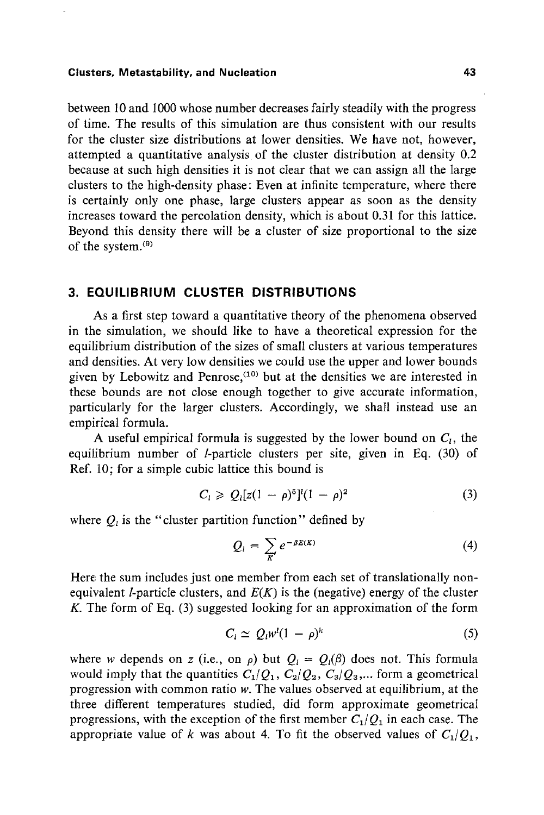between 10 and 1000 whose number decreases fairly steadily with the progress of time. The results of this simulation are thus consistent with our results for the cluster size distributions at lower densities. We have not, however, attempted a quantitative analysis of the cluster distribution at density 0.2 because at such high densities it is not clear that we can assign all the large clusters to the high-density phase: Even at infinite temperature, where there is certainly only one phase, large clusters appear as soon as the density increases toward the percolation density, which is about 0.31 for this lattice. Beyond this density there will be a cluster of size proportional to the size of the system.<sup>(9)</sup>

## **3. EQUILIBRIUM CLUSTER DISTRIBUTIONS**

As a first step toward a quantitative theory of the phenomena observed in the simulation, we should like to have a theoretical expression for the equilibrium distribution of the sizes of small clusters at various temperatures and densities. At very low densities we could use the upper and lower bounds given by Lebowitz and Penrose,  $(10)$  but at the densities we are interested in these bounds are not close enough together to give accurate information, particularly for the larger clusters. Accordingly, we shall instead use an empirical formula.

A useful empirical formula is suggested by the lower bound on  $C<sub>1</sub>$ , the equilibrium number of /-particle clusters per site, given in Eq. (30) of Ref. 10; for a simple cubic lattice this bound is

$$
C_l \geq Q_l [z(1-\rho)^5]^l (1-\rho)^2 \tag{3}
$$

where  $Q_i$  is the "cluster partition function" defined by

$$
Q_l = \sum_K e^{-\beta E(K)} \tag{4}
$$

Here the sum includes just one member from each set of translationally nonequivalent *l*-particle clusters, and  $E(K)$  is the (negative) energy of the cluster K. The form of Eq. (3) suggested looking for an approximation of the form

$$
C_l \simeq Q_l w^l (1 - \rho)^k \tag{5}
$$

where w depends on z (i.e., on  $\rho$ ) but  $Q_1 = Q_1(\beta)$  does not. This formula would imply that the quantities  $C_1/Q_1$ ,  $C_2/Q_2$ ,  $C_3/Q_3$ ,... form a geometrical progression with common ratio w. The values observed at equilibrium, at the three different temperatures studied, did form approximate geometrical progressions, with the exception of the first member  $C_1/Q_1$  in each case. The appropriate value of k was about 4. To fit the observed values of  $C_1/Q_1$ ,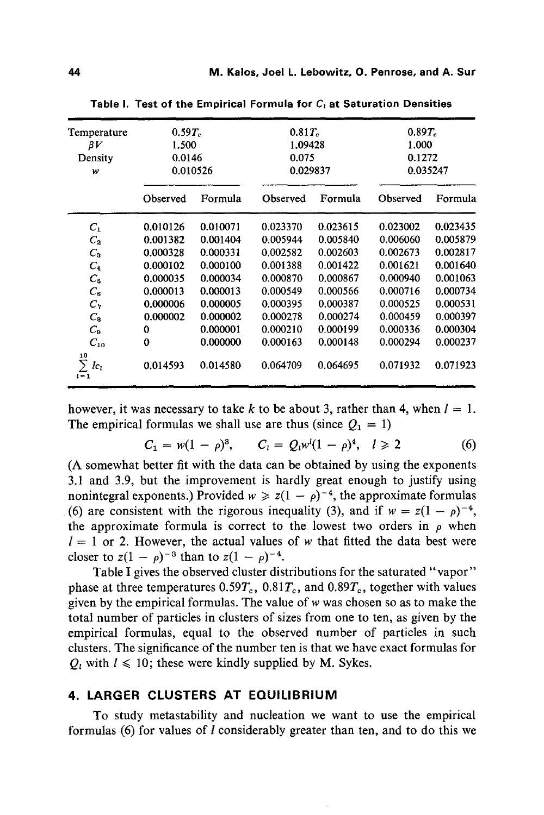| Temperature<br>βV<br>Density<br>w | $0.59T_c$<br>1.500<br>0.0146<br>0.010526 |          | $0.81T_c$<br>1.09428<br>0.075<br>0.029837 |          | $0.89T_c$<br>1.000<br>0.1272<br>0.035247 |          |
|-----------------------------------|------------------------------------------|----------|-------------------------------------------|----------|------------------------------------------|----------|
|                                   | Observed                                 | Formula  | Observed                                  | Formula  | Observed                                 | Formula  |
| $C_{1}$                           | 0.010126                                 | 0.010071 | 0.023370                                  | 0.023615 | 0.023002                                 | 0.023435 |
| $C_{2}$                           | 0.001382                                 | 0.001404 | 0.005944                                  | 0.005840 | 0.006060                                 | 0.005879 |
| $C_3$                             | 0.000328                                 | 0.000331 | 0.002582                                  | 0.002603 | 0.002673                                 | 0.002817 |
| $C_4$                             | 0.000102                                 | 0.000100 | 0.001388                                  | 0.001422 | 0.001621                                 | 0.001640 |
| $C_{5}$                           | 0.000035                                 | 0.000034 | 0.000870                                  | 0.000867 | 0.000940                                 | 0.001063 |
| $C_{6}$                           | 0.000013                                 | 0.000013 | 0.000549                                  | 0.000566 | 0.000716                                 | 0.000734 |
| $C_7$                             | 0.000006                                 | 0.000005 | 0.000395                                  | 0.000387 | 0.000525                                 | 0.000531 |
| $C_{8}$                           | 0.000002                                 | 0.000002 | 0.000278                                  | 0.000274 | 0.000459                                 | 0.000397 |
| $C_{9}$                           | 0                                        | 0.000001 | 0.000210                                  | 0.000199 | 0.000336                                 | 0.000304 |
| $C_{10}$                          | $\bf{0}$                                 | 0.000000 | 0.000163                                  | 0.000148 | 0.000294                                 | 0.000237 |
| 10<br>lc,<br>$l=1$                | 0.014593                                 | 0.014580 | 0.064709                                  | 0.064695 | 0.071932                                 | 0.071923 |

Table I. Test of the Empirical Formula for C<sub>z</sub> at Saturation Densities

however, it was necessary to take k to be about 3, rather than 4, when  $l = 1$ . The empirical formulas we shall use are thus (since  $Q_1 = 1$ )

$$
C_1 = w(1 - \rho)^3, \qquad C_l = Q_l w^l (1 - \rho)^4, \quad l \geq 2 \tag{6}
$$

(A somewhat better fit with the data can be obtained by using the exponents 3.1 and 3.9, but the improvement is hardly great enough to justify using nonintegral exponents.) Provided  $w \ge z(1 - \rho)^{-4}$ , the approximate formulas (6) are consistent with the rigorous inequality (3), and if  $w = z(1 - \rho)^{-4}$ , the approximate formula is correct to the lowest two orders in  $\rho$  when  $l = 1$  or 2. However, the actual values of w that fitted the data best were closer to  $z(1 - \rho)^{-3}$  than to  $z(1 - \rho)^{-4}$ .

Table I gives the observed cluster distributions for the saturated "vapor" phase at three temperatures  $0.59T_c$ ,  $0.81T_c$ , and  $0.89T_c$ , together with values given by the empirical formulas. The value of  $w$  was chosen so as to make the total number of particles in clusters of sizes from one to ten, as given by the empirical formulas, equal to the observed number of particles in such clusters. The significance of the number ten is that we have exact formulas for  $Q_i$  with  $l \leq 10$ ; these were kindly supplied by M. Sykes.

## **4. LARGER CLUSTERS AT EQUILIBRIUM**

To study metastability and nucleation we want to use the empirical formulas (6) for values of  $l$  considerably greater than ten, and to do this we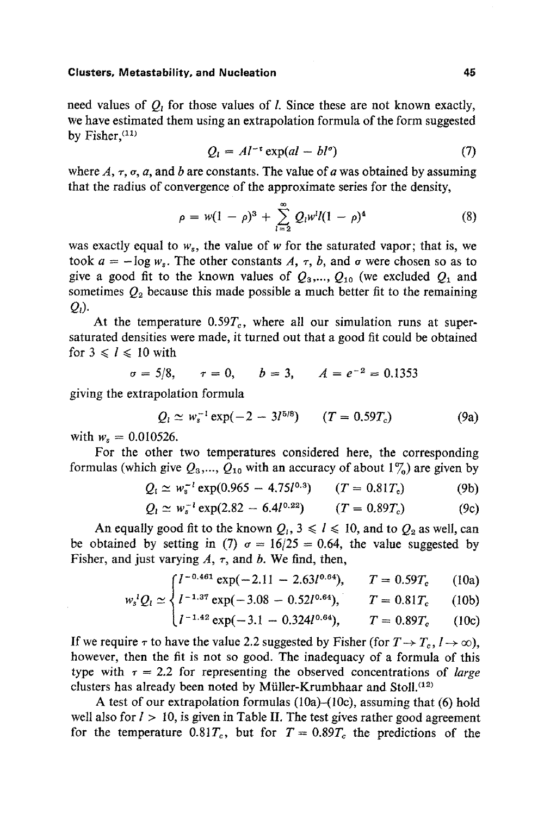need values of  $Q_i$  for those values of *l*. Since these are not known exactly, we have estimated them using an extrapolation formula of the form suggested by Fisher,  $(11)$ 

$$
Q_l = Al^{-t} \exp(al - bl^{\sigma})
$$
 (7)

where A,  $\tau$ ,  $\sigma$ , a, and b are constants. The value of a was obtained by assuming that the radius of convergence of the approximate series for the density,

$$
\rho = w(1 - \rho)^3 + \sum_{i=2}^{\infty} Q_i w^i l (1 - \rho)^4 \tag{8}
$$

was exactly equal to  $w_s$ , the value of w for the saturated vapor; that is, we took  $a = -\log w_s$ . The other constants A, r, b, and  $\sigma$  were chosen so as to give a good fit to the known values of  $Q_3, ..., Q_{10}$  (we excluded  $Q_1$  and sometimes  $Q_2$  because this made possible a much better fit to the remaining  $Q_i$ ).

At the temperature  $0.59T_c$ , where all our simulation runs at supersaturated densities were made, it turned out that a good fit could be obtained for  $3 \le l \le 10$  with

$$
\sigma = 5/8
$$
,  $\tau = 0$ ,  $b = 3$ ,  $A = e^{-2} = 0.1353$ 

giving the extrapolation formula

$$
Q_l \simeq w_s^{-1} \exp(-2 - 3l^{5/8}) \qquad (T = 0.59T_c) \tag{9a}
$$

with  $w_s = 0.010526$ .

For the other two temperatures considered here, the corresponding formulas (which give  $Q_3, ..., Q_{10}$  with an accuracy of about  $1\%$ ) are given by

$$
Q_1 \simeq w_s^{-1} \exp(0.965 - 4.75l^{0.3})
$$
  $(T = 0.81T_c)$  (9b)

$$
Q_l \simeq w_s^{-1} \exp(2.82 - 6.4l^{0.22}) \qquad (T = 0.89T_c) \tag{9c}
$$

An equally good fit to the known  $Q_i$ ,  $3 \le l \le 10$ , and to  $Q_2$  as well, can be obtained by setting in (7)  $\sigma = 16/25 = 0.64$ , the value suggested by Fisher, and just varying  $A$ ,  $\tau$ , and  $b$ . We find, then,

$$
\int I^{-0.461} \exp(-2.11 - 2.63 l^{0.64}), \qquad T = 0.59 T_c \tag{10a}
$$

$$
w_s^{\ \ i}Q_t \simeq \left\{ l^{-1.37} \exp(-3.08 - 0.52 l^{0.64}), \right. \qquad T = 0.81 T_c \tag{10b}
$$

$$
(1^{-1.42} \exp(-3.1 - 0.3241^{0.64}), \qquad T = 0.89T_c \qquad (10c)
$$

If we require  $\tau$  to have the value 2.2 suggested by Fisher (for  $T \rightarrow T_c$ ,  $I \rightarrow \infty$ ), however, then the fit is not so good. The inadequacy of a formula of this type with  $\tau = 2.2$  for representing the observed concentrations of *large* clusters has already been noted by Müller-Krumbhaar and Stoll.<sup>(12)</sup>

A test of our extrapolation formulas (10a)-(10c), assuming that (6) hold well also for  $l > 10$ , is given in Table II. The test gives rather good agreement for the temperature  $0.81T_c$ , but for  $T = 0.89T_c$  the predictions of the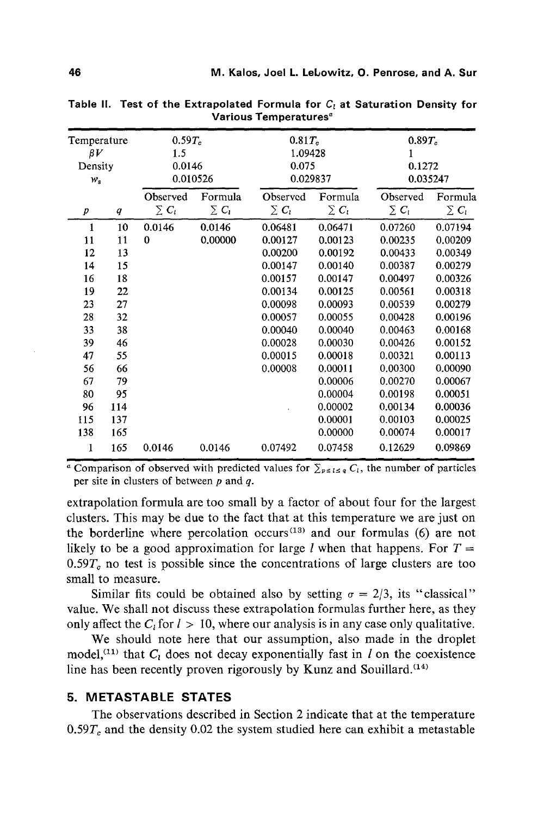| Temperature<br>$\beta V$<br>Density<br>$w_{s}$ |                  | $0.59T_c$<br>1.5<br>0.0146<br>0.010526 |                       | $0.81T_c$<br>1.09428<br>0.075<br>0.029837 |                       | $0.89T_c$<br>1<br>0.1272<br>0.035247 |                       |
|------------------------------------------------|------------------|----------------------------------------|-----------------------|-------------------------------------------|-----------------------|--------------------------------------|-----------------------|
| $\boldsymbol{p}$                               | $\boldsymbol{q}$ | Observed<br>$\sum C_i$                 | Formula<br>$\sum C_i$ | Observed<br>$\sum C_i$                    | Formula<br>$\sum C_i$ | Observed<br>$\sum C_i$               | Formula<br>$\sum C_i$ |
| $\mathbf{1}$                                   | 10               | 0.0146                                 | 0.0146                | 0.06481                                   | 0.06471               | 0.07260                              | 0.07194               |
| 11                                             | 11               | 0                                      | 0.00000               | 0.00127                                   | 0.00123               | 0.00235                              | 0.00209               |
| 12                                             | 13               |                                        |                       | 0.00200                                   | 0.00192               | 0.00433                              | 0.00349               |
| 14                                             | 15               |                                        |                       | 0.00147                                   | 0.00140               | 0.00387                              | 0.00279               |
| 16                                             | 18               |                                        |                       | 0.00157                                   | 0.00147               | 0.00497                              | 0.00326               |
| 19                                             | 22               |                                        |                       | 0.00134                                   | 0.00125               | 0.00561                              | 0.00318               |
| 23                                             | 27               |                                        |                       | 0.00098                                   | 0.00093               | 0.00539                              | 0.00279               |
| 28                                             | 32               |                                        |                       | 0.00057                                   | 0.00055               | 0.00428                              | 0.00196               |
| 33                                             | 38               |                                        |                       | 0.00040                                   | 0.00040               | 0.00463                              | 0.00168               |
| 39                                             | 46               |                                        |                       | 0.00028                                   | 0.00030               | 0.00426                              | 0.00152               |
| 47                                             | 55               |                                        |                       | 0.00015                                   | 0.00018               | 0.00321                              | 0.00113               |
| 56                                             | 66               |                                        |                       | 0.00008                                   | 0.00011               | 0.00300                              | 0.00090               |
| 67                                             | 79               |                                        |                       |                                           | 0.00006               | 0.00270                              | 0.00067               |
| 80                                             | 95               |                                        |                       |                                           | 0.00004               | 0.00198                              | 0.00051               |
| 96                                             | 114              |                                        |                       |                                           | 0.00002               | 0.00134                              | 0.00036               |
| 115                                            | 137              |                                        |                       |                                           | 0.00001               | 0.00103                              | 0.00025               |
| 138                                            | 165              |                                        |                       |                                           | 0.00000               | 0.00074                              | 0.00017               |
| 1                                              | 165              | 0.0146                                 | 0.0146                | 0.07492                                   | 0.07458               | 0.12629                              | 0.09869               |

Table II. Test of the Extrapolated Formula for  $C_t$  at Saturation Density for Various Temperatures<sup>a</sup>

<sup>a</sup> Comparison of observed with predicted values for  $\sum_{p \leq l \leq q} C_l$ , the number of particles per site in clusters of between  $p$  and  $q$ .

extrapolation formula are too small by a factor of about four for the largest clusters. This may be due to the fact that at this temperature we are just on the borderline where percolation occurs<sup> $(13)$ </sup> and our formulas (6) are not likely to be a good approximation for large *l* when that happens. For  $T =$  $0.59T_c$  no test is possible since the concentrations of large clusters are too small to measure.

Similar fits could be obtained also by setting  $\sigma = 2/3$ , its "classical" value. We shall not discuss these extrapolation formulas further here, as they only affect the  $C_i$  for  $l > 10$ , where our analysis is in any case only qualitative.

We should note here that our assumption, also made in the droplet model,  $^{(11)}$  that  $C_i$  does not decay exponentially fast in l on the coexistence line has been recently proven rigorously by Kunz and Souillard.  $(14)$ 

## **5. METASTABLE STATES**

The observations described in Section 2 indicate that at the temperature  $0.59T_c$  and the density 0.02 the system studied here can exhibit a metastable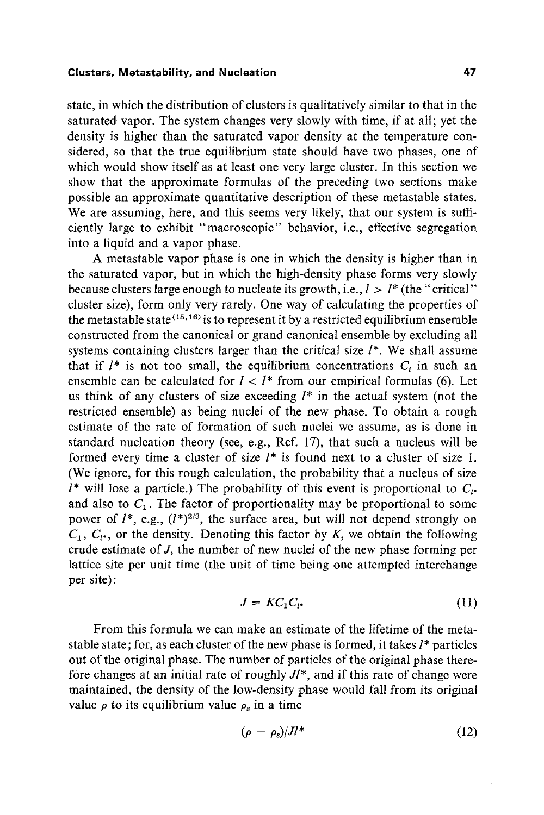state, in which the distribution of clusters is qualitatively similar to that in the saturated vapor. The system changes very slowly with time, if at all; yet the density is higher than the saturated vapor density at the temperature considered, so that the true equilibrium state should have two phases, one of which would show itself as at least one very large cluster. In this section we show that the approximate formulas of the preceding two sections make possible an approximate quantitative description of these metastable states. We are assuming, here, and this seems very likely, that our system is sufficiently large to exhibit "macroscopic" behavior, i.e., effective segregation into a liquid and a vapor phase.

A metastable vapor phase is one in which the density is higher than in the saturated vapor, but in which the high-density phase forms very slowly because clusters large enough to nucleate its growth, i.e.,  $l > l^*$  (the "critical" cluster size), form only very rarely. One way of calculating the properties of the metastable state  $^{(15,16)}$  is to represent it by a restricted equilibrium ensemble constructed from the canonical or grand canonical ensemble by excluding all systems containing clusters larger than the critical size  $l^*$ . We shall assume that if  $l^*$  is not too small, the equilibrium concentrations  $C_i$  in such an ensemble can be calculated for  $l < l^*$  from our empirical formulas (6). Let us think of any clusters of size exceeding  $l^*$  in the actual system (not the restricted ensemble) as being nuclei of the new phase. To obtain a rough estimate of the rate of formation of such nuclei we assume, as is done in standard nucleation theory (see, e.g., Ref. 17), that such a nucleus will be formed every time a cluster of size  $l^*$  is found next to a cluster of size 1. (We ignore, for this rough calculation, the probability that a nucleus of size  $l^*$  will lose a particle.) The probability of this event is proportional to  $C_{l^*}$ and also to  $C_1$ . The factor of proportionality may be proportional to some power of  $l^*$ , e.g.,  $(l^*)^{2/3}$ , the surface area, but will not depend strongly on  $C_1$ ,  $C_i$ , or the density. Denoting this factor by K, we obtain the following crude estimate of J, the number of new nuclei of the new phase forming per lattice site per unit time (the unit of time being one attempted interchange per site):

$$
J = KC_1 C_{\iota}. \tag{11}
$$

From this formula we can make an estimate of the lifetime of the metastable state; for, as each cluster of the new phase is formed, it takes l\* particles out of the original phase. The number of particles of the original phase therefore changes at an initial rate of roughly *Jl\*,* and if this rate of change were maintained, the density of the low-density phase would fall from its original value  $\rho$  to its equilibrium value  $\rho_s$  in a time

$$
(\rho - \rho_s)/Jl^* \tag{12}
$$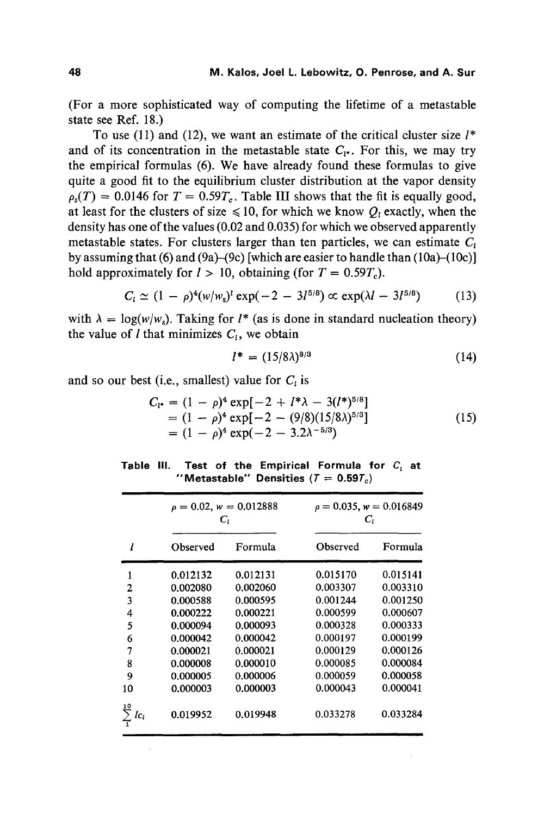(For a more sophisticated way of computing the lifetime of a metastable state see Ref. 18.)

To use (11) and (12), we want an estimate of the critical cluster size  $l^*$ and of its concentration in the metastable state  $C_{i}$ . For this, we may try the empirical formulas (6). We have already found these formulas to give quite a good fit to the equilibrium cluster distribution at the vapor density  $\rho_s(T) = 0.0146$  for  $T = 0.59T_c$ . Table III shows that the fit is equally good, at least for the clusters of size  $\leq 10$ , for which we know  $Q_i$  exactly, when the density has one of the values (0.02 and 0.035) for which we observed apparently metastable states. For clusters larger than ten particles, we can estimate  $C_i$ by assuming that  $(6)$  and  $(9a)$ – $(9c)$  [which are easier to handle than  $(10a)$ – $(10c)$ ] hold approximately for  $l > 10$ , obtaining (for  $T = 0.59T_c$ ).

$$
C_i \simeq (1 - \rho)^4 (w/w_s)^i \exp(-2 - 3l^{5/8}) \propto \exp(\lambda l - 3l^{5/8}) \tag{13}
$$

with  $\lambda = \log(w/w_s)$ . Taking for  $l^*$  (as is done in standard nucleation theory) the value of *l* that minimizes  $C_1$ , we obtain

$$
l^* = (15/8\lambda)^{8/3} \tag{14}
$$

and so our best (i.e., smallest) value for  $C_i$  is

$$
C_{i^*} = (1 - \rho)^4 \exp[-2 + l^* \lambda - 3(l^*)^{5/8}]
$$
  
= (1 - \rho)^4 \exp[-2 - (9/8)(15/8\lambda)^{5/3}]  
= (1 - \rho)^4 \exp(-2 - 3.2\lambda^{-5/3}) (15)

Table III. Test of the Empirical Formula for  $C_i$  at "Metastable" Densities  $(T = 0.59T_c)$ 

|                 |          | $\rho = 0.02, w = 0.012888$<br>C, | $\rho = 0.035, w = 0.016849$<br>$\scriptstyle{C_i}$ |          |  |
|-----------------|----------|-----------------------------------|-----------------------------------------------------|----------|--|
| l               | Observed | Formula                           | Observed                                            | Formula  |  |
| 1               | 0.012132 | 0.012131                          | 0.015170                                            | 0.015141 |  |
| 2               | 0.002080 | 0.002060                          | 0.003307                                            | 0.003310 |  |
| 3               | 0.000588 | 0.000595                          | 0.001244                                            | 0.001250 |  |
| 4               | 0.000222 | 0.000221                          | 0.000599                                            | 0.000607 |  |
| 5               | 0.000094 | 0.000093                          | 0.000328                                            | 0.000333 |  |
| 6               | 0.000042 | 0.000042                          | 0.000197                                            | 0.000199 |  |
| 7               | 0.000021 | 0.000021                          | 0.000129                                            | 0.000126 |  |
| 8               | 0.000008 | 0.000010                          | 0.000085                                            | 0.000084 |  |
| 9               | 0.000005 | 0.000006                          | 0.000059                                            | 0.000058 |  |
| 10              | 0.000003 | 0.000003                          | 0.000043                                            | 0.000041 |  |
| lc <sub>i</sub> | 0.019952 | 0.019948                          | 0.033278                                            | 0.033284 |  |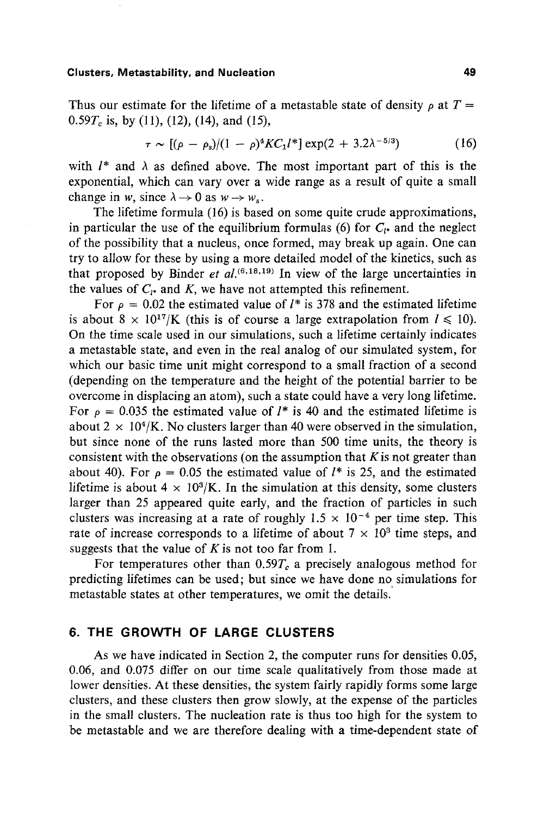Thus our estimate for the lifetime of a metastable state of density  $\rho$  at  $T =$  $0.59T_c$  is, by (11), (12), (14), and (15),

$$
\tau \sim [(\rho - \rho_s)/(1 - \rho)^4 K C_1 l^*] \exp(2 + 3.2\lambda^{-5/3}) \tag{16}
$$

with  $l^*$  and  $\lambda$  as defined above. The most important part of this is the exponential, which can vary over a wide range as a result of quite a small change in w, since  $\lambda \rightarrow 0$  as  $w \rightarrow w_{\gamma}$ .

The lifetime formula (16) is based on some quite crude approximations, in particular the use of the equilibrium formulas (6) for  $C<sub>i</sub>$  and the neglect of the possibility that a nucleus, once formed, may break up again. One can try to allow for these by using a more detailed model of the kinetics, such as that proposed by Binder *et al.*  $(6,18,19)$  In view of the large uncertainties in the values of  $C_{\nu}$  and K, we have not attempted this refinement.

For  $\rho = 0.02$  the estimated value of  $l^*$  is 378 and the estimated lifetime is about  $8 \times 10^{17}/K$  (this is of course a large extrapolation from  $l \le 10$ ). On the time scale used in our simulations, such a lifetime certainly indicates a metastable state, and even in the real analog of our simulated system, for which our basic time unit might correspond to a small fraction of a second (depending on the temperature and the height of the potential barrier to be overcome in displacing an atom), such a state could have a very long lifetime. For  $\rho = 0.035$  the estimated value of  $l^*$  is 40 and the estimated lifetime is about  $2 \times 10^4$ /K. No clusters larger than 40 were observed in the simulation, but since none of the runs lasted more than 500 time units, the theory is consistent with the observations (on the assumption that  $K$  is not greater than about 40). For  $\rho = 0.05$  the estimated value of  $l^*$  is 25, and the estimated lifetime is about  $4 \times 10^3$ /K. In the simulation at this density, some clusters larger than 25 appeared quite early, and the fraction of particles in such clusters was increasing at a rate of roughly  $1.5 \times 10^{-4}$  per time step. This rate of increase corresponds to a lifetime of about  $7 \times 10^3$  time steps, and suggests that the value of K is not too far from 1.

For temperatures other than  $0.59T_c$  a precisely analogous method for predicting lifetimes can be used; but since we have done no simulations for metastable states at other temperatures, we omit the details.'

#### **6. THE GROWTH OF LARGE CLUSTERS**

As we have indicated in Section 2, the computer runs for densities 0.05, 0.06, and 0.075 differ on our time scale qualitatively from those made at lower densities. At these densities, the system fairly rapidly forms some large clusters, and these clusters then grow slowly, at the expense of the particles in the small clusters. The nucleation rate is thus too high for the system to he metastable and we are therefore dealing with a time-dependent state of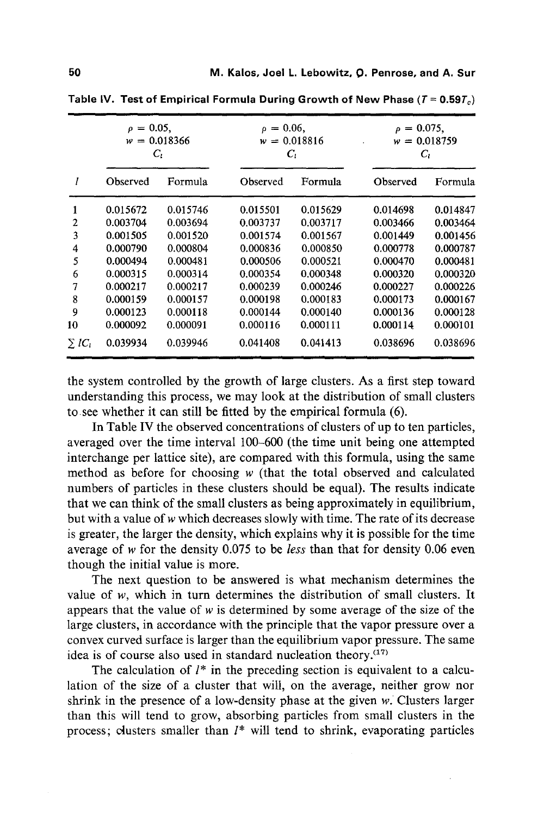|                          | $\rho = 0.05$ .<br>$w = 0.018366$<br>$C_{l}$ |          | $\rho = 0.06$ .<br>$w = 0.018816$<br>$C_{l}$ |          | $= 0.075$ ,<br>0<br>$w = 0.018759$<br>$C_t$ |          |
|--------------------------|----------------------------------------------|----------|----------------------------------------------|----------|---------------------------------------------|----------|
| 1                        | Observed                                     | Formula  | Observed                                     | Formula  | Observed                                    | Formula  |
|                          | 0.015672                                     | 0.015746 | 0.015501                                     | 0.015629 | 0.014698                                    | 0.014847 |
| 2                        | 0.003704                                     | 0.003694 | 0.003737                                     | 0.003717 | 0.003466                                    | 0.003464 |
| 3                        | 0.001505                                     | 0.001520 | 0.001574                                     | 0.001567 | 0.001449                                    | 0.001456 |
| 4                        | 0.000790                                     | 0.000804 | 0.000836                                     | 0.000850 | 0.000778                                    | 0.000787 |
| 5                        | 0.000494                                     | 0.000481 | 0.000506                                     | 0.000521 | 0.000470                                    | 0.000481 |
| 6                        | 0.000315                                     | 0.000314 | 0.000354                                     | 0.000348 | 0.000320                                    | 0.000320 |
| 7                        | 0.000217                                     | 0.000217 | 0.000239                                     | 0.000246 | 0.000227                                    | 0.000226 |
| 8                        | 0.000159                                     | 0.000157 | 0.000198                                     | 0.000183 | 0.000173                                    | 0.000167 |
| 9                        | 0.000123                                     | 0.000118 | 0.000144                                     | 0.000140 | 0.000136                                    | 0.000128 |
| 10                       | 0.000092                                     | 0.000091 | 0.000116                                     | 0.000111 | 0.000114                                    | 0.000101 |
| $\Sigma$ lC <sub>i</sub> | 0.039934                                     | 0.039946 | 0.041408                                     | 0.041413 | 0.038696                                    | 0.038696 |

Table IV. Test of Empirical Formula During Growth of New Phase  $(T = 0.59T_c)$ 

the system controlled by the growth of large clusters. As a first step toward understanding this process, we may look at the distribution of small clusters to see whether it can still be fitted by the empirical formula (6).

In Table IV the observed concentrations of clusters of up to ten particles, averaged over the time interval 100–600 (the time unit being one attempted interchange per lattice site), are compared with this formula, using the same method as before for choosing w (that the total observed and calculated numbers of particles in these clusters should be equal). The results indicate that we can think of the small clusters as being approximately in equilibrium, but with a value of w which decreases slowly with time. The rate of its decrease is greater, the larger the density, which explains why it is possible for the time average of w for the density 0.075 to be *less* than that for density 0.06 even though the initial value is more.

The next question to be answered is what mechanism determines the value of  $w$ , which in turn determines the distribution of small clusters. It appears that the value of w is determined by some average of the size of the large clusters, in accordance with the principle that the vapor pressure over a convex curved surface is larger than the equilibrium vapor pressure. The same idea is of course also used in standard nucleation theory. $(17)$ 

The calculation of  $l^*$  in the preceding section is equivalent to a calculation of the size of a cluster that will, on the average, neither grow nor shrink in the presence of a low-density phase at the given *w.* Clusters larger than this will tend to grow, absorbing particles from small clusters in the process; clusters smaller than  $l^*$  will tend to shrink, evaporating particles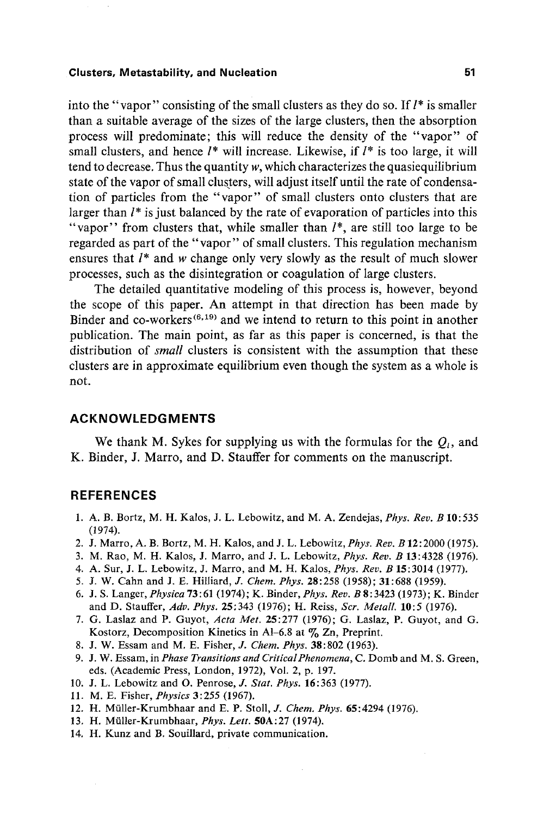into the "vapor" consisting of the small clusters as they do so. If  $l^*$  is smaller than a suitable average of the sizes of the large clusters, then the absorption process will predominate; this will reduce the density of the "vapor" of small clusters, and hence  $l^*$  will increase. Likewise, if  $l^*$  is too large, it will tend to decrease. Thus the quantity  $w$ , which characterizes the quasiequilibrium state of the vapor of small clusters, will adjust itself until the rate of condensation of particles from the "vapor" of small clusters onto clusters that are larger than  $l^*$  is just balanced by the rate of evaporation of particles into this "vapor" from clusters that, while smaller than  $l^*$ , are still too large to be regarded as part of the "vapor" of small clusters. This regulation mechanism ensures that  $l^*$  and w change only very slowly as the result of much slower processes, such as the disintegration or coagulation of large clusters.

The detailed quantitative modeling of this process is, however, beyond the scope of this paper. An attempt in that direction has been made by Binder and co-workers  $(6,19)$  and we intend to return to this point in another publication. The main point, as far as this paper is concerned, is that the distribution of *small* clusters is consistent with the assumption that these clusters are in approximate equilibrium even though the system as a whole is not.

#### **ACKNOWLEDG MENTS**

We thank M. Sykes for supplying us with the formulas for the  $Q_i$ , and K. Binder, J. Marro, and D. Stauffer for comments on the manuscript.

## **REFERENCES**

- 1. A. B. Bortz, M. H. Kalos, J. L. Lebowitz, and M. A. Zendejas, *Phys. Rev. B* 10:535 (1974).
- 2. J. Marro, A. B. Bortz, M. H. Kalos, and J. L. Lebowitz, *Phys. Rev. B* 12:2000 (1975).
- 3. M. Rao, M. H. Kalos, J. Marro, and J. L. Lebowitz, *Phys. Rev. B* 13:4328 (t976).
- 4. A. Sur, J. L. Lebowitz, J. Marro, and M. H. Kalos, *Phys. Rev. B* 15:3014 (1977).
- 5. J. W. Cahn and J. E. Hilliard, *J. Chem. Phys.* 28:258 (1958); 31:688 (1959).
- 6. J. S. Langer, *Physica* 73: 61 (1974); K. Binder, *Phys. Rev.* B 8: 3423 (1973); K. Binder and D. Stauffer, *Adv. Phys.* 25:343 (1976); H. Reiss, *Scr. Metall.* 10:5 (1976).
- 7. G. Laslaz and P. Guyot, *Acta Met.* 25:277 (1976); G. Laslaz, P. Guyot, and G. Kostorz, Decomposition Kinetics in Al-6.8 at  $\%$  Zn, Preprint.
- 8. J. W. Essam and M. E. Fisher, *J. Chem. Phys.* 38:802 (1963).
- 9. J. W. Essam, in *Phase Transitions and CriticalPhenomena,* C. Domb and M. S. Green, eds. (Academic Press, London, 1972), Vol. 2, p. 197.
- 10: J. L. Lebowitz and O. Penrose, *J. Stat. Phys.* 16:363 (1977).
- 11. M. E. Fisher, *Physics* 3:255 (1967).
- 12. H. Mtiller-Krumbhaar and E. P. Stoll, *J. Chem. Phys.* 65:4294 (1976).
- 13. H. Mtiller-Krumbhaar, *Phys. Lett.* 50A:27 (1974).
- 14, H. Kunz and B. Souillard, private communication.